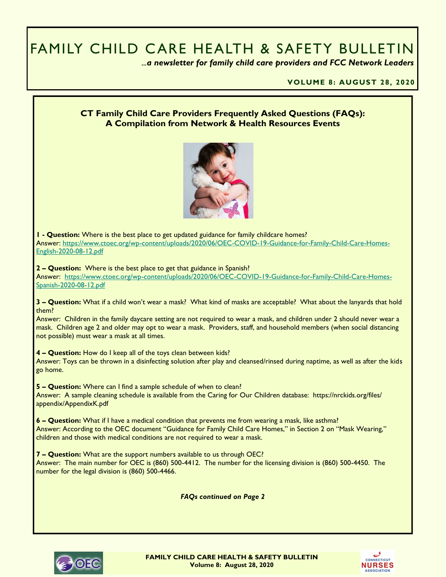# FAMILY CHILD CARE HEALTH & SAFETY BULLETIN

 *...a newsletter for family child care providers and FCC Network Leaders* 

**VOLUME 8: AUGUST 28, 2020**

#### **CT Family Child Care Providers Frequently Asked Questions (FAQs): A Compilation from Network & Health Resources Events**



**1 - Question:** Where is the best place to get updated guidance for family childcare homes? Answer: [https://www.ctoec.org/wp-content/uploads/2020/06/OEC-COVID-19-Guidance-for-Family-Child-Care-Homes-](https://www.ctoec.org/wp-content/uploads/2020/06/OEC-COVID-19-Guidance-for-Family-Child-Care-Homes-English-2020-08-12.pdf)[English-2020-08-12.pdf](https://www.ctoec.org/wp-content/uploads/2020/06/OEC-COVID-19-Guidance-for-Family-Child-Care-Homes-English-2020-08-12.pdf)

**2 – Question:** Where is the best place to get that guidance in Spanish?

Answer: [https://www.ctoec.org/wp-content/uploads/2020/06/OEC-COVID-19-Guidance-for-Family-Child-Care-Homes-](https://www.ctoec.org/wp-content/uploads/2020/06/OEC-COVID-19-Guidance-for-Family-Child-Care-Homes-Spanish-2020-08-12.pdf)[Spanish-2020-08-12.pdf](https://www.ctoec.org/wp-content/uploads/2020/06/OEC-COVID-19-Guidance-for-Family-Child-Care-Homes-Spanish-2020-08-12.pdf)

**3 – Question:** What if a child won't wear a mask? What kind of masks are acceptable? What about the lanyards that hold them?

Answer: Children in the family daycare setting are not required to wear a mask, and children under 2 should never wear a mask. Children age 2 and older may opt to wear a mask. Providers, staff, and household members (when social distancing not possible) must wear a mask at all times.

**4 – Question:** How do I keep all of the toys clean between kids?

Answer: Toys can be thrown in a disinfecting solution after play and cleansed/rinsed during naptime, as well as after the kids go home.

**5 – Question:** Where can I find a sample schedule of when to clean? Answer: A sample cleaning schedule is available from the Caring for Our Children database: https://nrckids.org/files/ appendix/AppendixK.pdf

**6 – Question:** What if I have a medical condition that prevents me from wearing a mask, like asthma? Answer: According to the OEC document "Guidance for Family Child Care Homes," in Section 2 on "Mask Wearing," children and those with medical conditions are not required to wear a mask.

**7 – Question:** What are the support numbers available to us through OEC? Answer: The main number for OEC is (860) 500-4412. The number for the licensing division is (860) 500-4450. The number for the legal division is (860) 500-4466.

*FAQs continued on Page 2*



**FAMILY CHILD CARE HEALTH & SAFETY BULLETIN Volume 8: August 28, 2020**

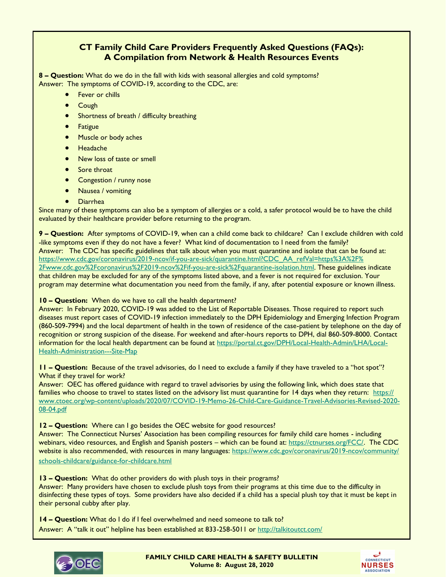## **CT Family Child Care Providers Frequently Asked Questions (FAQs): A Compilation from Network & Health Resources Events**

**8 – Question:** What do we do in the fall with kids with seasonal allergies and cold symptoms? Answer: The symptoms of COVID-19, according to the CDC, are:

- **•** Fever or chills
	- **•** Cough
- Shortness of breath / difficulty breathing
- **•** Fatigue
- Muscle or body aches
- Headache
- New loss of taste or smell
- Sore throat
- Congestion / runny nose
- Nausea / vomiting
- Diarrhea

Since many of these symptoms can also be a symptom of allergies or a cold, a safer protocol would be to have the child evaluated by their healthcare provider before returning to the program.

**9 – Question:** After symptoms of COVID-19, when can a child come back to childcare? Can I exclude children with cold -like symptoms even if they do not have a fever? What kind of documentation to I need from the family? Answer: The CDC has specific guidelines that talk about when you must quarantine and isolate that can be found at: [https://www.cdc.gov/coronavirus/2019-ncov/if-you-are-sick/quarantine.html?CDC\\_AA\\_refVal=https%3A%2F%](https://www.cdc.gov/coronavirus/2019-ncov/if-you-are-sick/quarantine.html?CDC_AA_refVal=https%3A%2F%2Fwww.cdc.gov%2Fcoronavirus%2F2019-ncov%2Fif-you-are-sick%2Fquarantine-isolation.html) [2Fwww.cdc.gov%2Fcoronavirus%2F2019-ncov%2Fif-you-are-sick%2Fquarantine-isolation.html.](https://www.cdc.gov/coronavirus/2019-ncov/if-you-are-sick/quarantine.html?CDC_AA_refVal=https%3A%2F%2Fwww.cdc.gov%2Fcoronavirus%2F2019-ncov%2Fif-you-are-sick%2Fquarantine-isolation.html) These guidelines indicate that children may be excluded for any of the symptoms listed above, and a fever is not required for exclusion. Your program may determine what documentation you need from the family, if any, after potential exposure or known illness.

#### **10 – Question:** When do we have to call the health department?

Answer: In February 2020, COVID-19 was added to the List of Reportable Diseases. Those required to report such diseases must report cases of COVID-19 infection immediately to the DPH Epidemiology and Emerging Infection Program (860-509-7994) and the local department of health in the town of residence of the case-patient by telephone on the day of recognition or strong suspicion of the disease. For weekend and after-hours reports to DPH, dial 860-509-8000. Contact information for the local health department can be found at [https://portal.ct.gov/DPH/Local-Health-Admin/LHA/Local-](https://portal.ct.gov/DPH/Local-Health-Admin/LHA/Local-Health-Administration---Site-Map)[Health-Administration---Site-Map](https://portal.ct.gov/DPH/Local-Health-Admin/LHA/Local-Health-Administration---Site-Map)

**11 – Question:** Because of the travel advisories, do I need to exclude a family if they have traveled to a "hot spot"? What if they travel for work?

Answer: OEC has offered guidance with regard to travel advisories by using the following link, which does state that families who choose to travel to states listed on the advisory list must quarantine for 14 days when they return: [https://](https://www.ctoec.org/wp-content/uploads/2020/07/COVID-19-Memo-26-Child-Care-Guidance-Travel-Advisories-Revised-2020-08-04.pdf) [www.ctoec.org/wp-content/uploads/2020/07/COVID-19-Memo-26-Child-Care-Guidance-Travel-Advisories-Revised-2020-](https://www.ctoec.org/wp-content/uploads/2020/07/COVID-19-Memo-26-Child-Care-Guidance-Travel-Advisories-Revised-2020-08-04.pdf) [08-04.pdf](https://www.ctoec.org/wp-content/uploads/2020/07/COVID-19-Memo-26-Child-Care-Guidance-Travel-Advisories-Revised-2020-08-04.pdf)

**12 – Question:** Where can I go besides the OEC website for good resources?

Answer: The Connecticut Nurses' Association has been compiling resources for family child care homes - including webinars, video resources, and English and Spanish posters – which can be found at: [https://ctnurses.org/FCC/.](https://ctnurses.org/FCC/) The CDC website is also recommended, with resources in many languages: [https://www.cdc.gov/coronavirus/2019-ncov/community/](https://www.cdc.gov/coronavirus/2019-ncov/community/schools-childcare/guidance-for-childcare.html) [schools-childcare/guidance-for-childcare.html](https://www.cdc.gov/coronavirus/2019-ncov/community/schools-childcare/guidance-for-childcare.html)

**13 – Question:** What do other providers do with plush toys in their programs? Answer: Many providers have chosen to exclude plush toys from their programs at this time due to the difficulty in disinfecting these types of toys. Some providers have also decided if a child has a special plush toy that it must be kept in their personal cubby after play.

**14 – Question:** What do I do if I feel overwhelmed and need someone to talk to? Answer: A "talk it out" helpline has been established at 833-258-5011 or <http://talkitoutct.com/>